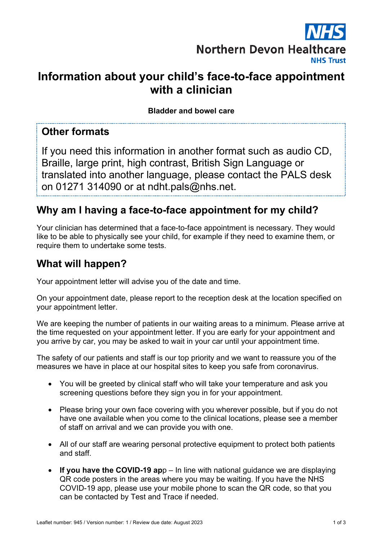

# **Information about your child's face-to-face appointment with a clinician**

**Bladder and bowel care**

#### **Other formats**

If you need this information in another format such as audio CD, Braille, large print, high contrast, British Sign Language or translated into another language, please contact the PALS desk on 01271 314090 or at ndht.pals@nhs.net.

### **Why am I having a face-to-face appointment for my child?**

Your clinician has determined that a face-to-face appointment is necessary. They would like to be able to physically see your child, for example if they need to examine them, or require them to undertake some tests.

#### **What will happen?**

Your appointment letter will advise you of the date and time.

On your appointment date, please report to the reception desk at the location specified on your appointment letter.

We are keeping the number of patients in our waiting areas to a minimum. Please arrive at the time requested on your appointment letter. If you are early for your appointment and you arrive by car, you may be asked to wait in your car until your appointment time.

The safety of our patients and staff is our top priority and we want to reassure you of the measures we have in place at our hospital sites to keep you safe from coronavirus.

- You will be greeted by clinical staff who will take your temperature and ask you screening questions before they sign you in for your appointment.
- Please bring your own face covering with you wherever possible, but if you do not have one available when you come to the clinical locations, please see a member of staff on arrival and we can provide you with one.
- All of our staff are wearing personal protective equipment to protect both patients and staff.
- **If you have the COVID-19 ap**p In line with national guidance we are displaying QR code posters in the areas where you may be waiting. If you have the NHS COVID-19 app, please use your mobile phone to scan the QR code, so that you can be contacted by Test and Trace if needed.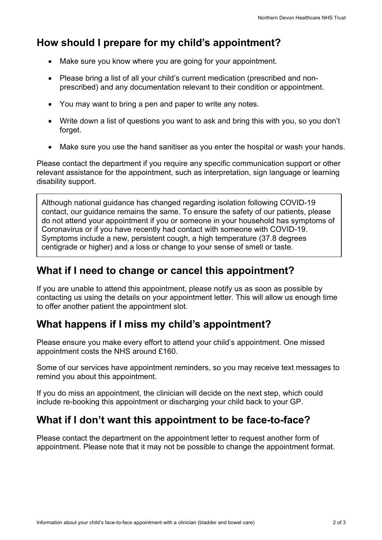# **How should I prepare for my child's appointment?**

- Make sure you know where you are going for your appointment.
- Please bring a list of all your child's current medication (prescribed and nonprescribed) and any documentation relevant to their condition or appointment.
- You may want to bring a pen and paper to write any notes.
- Write down a list of questions you want to ask and bring this with you, so you don't forget.
- Make sure you use the hand sanitiser as you enter the hospital or wash your hands.

Please contact the department if you require any specific communication support or other relevant assistance for the appointment, such as interpretation, sign language or learning disability support.

Although national guidance has changed regarding isolation following COVID-19 contact, our guidance remains the same. To ensure the safety of our patients, please do not attend your appointment if you or someone in your household has symptoms of Coronavirus or if you have recently had contact with someone with COVID-19. Symptoms include a new, persistent cough, a high temperature (37.8 degrees centigrade or higher) and a loss or change to your sense of smell or taste.

## **What if I need to change or cancel this appointment?**

If you are unable to attend this appointment, please notify us as soon as possible by contacting us using the details on your appointment letter. This will allow us enough time to offer another patient the appointment slot.

## **What happens if I miss my child's appointment?**

Please ensure you make every effort to attend your child's appointment. One missed appointment costs the NHS around £160.

Some of our services have appointment reminders, so you may receive text messages to remind you about this appointment.

If you do miss an appointment, the clinician will decide on the next step, which could include re-booking this appointment or discharging your child back to your GP.

## **What if I don't want this appointment to be face-to-face?**

Please contact the department on the appointment letter to request another form of appointment. Please note that it may not be possible to change the appointment format.